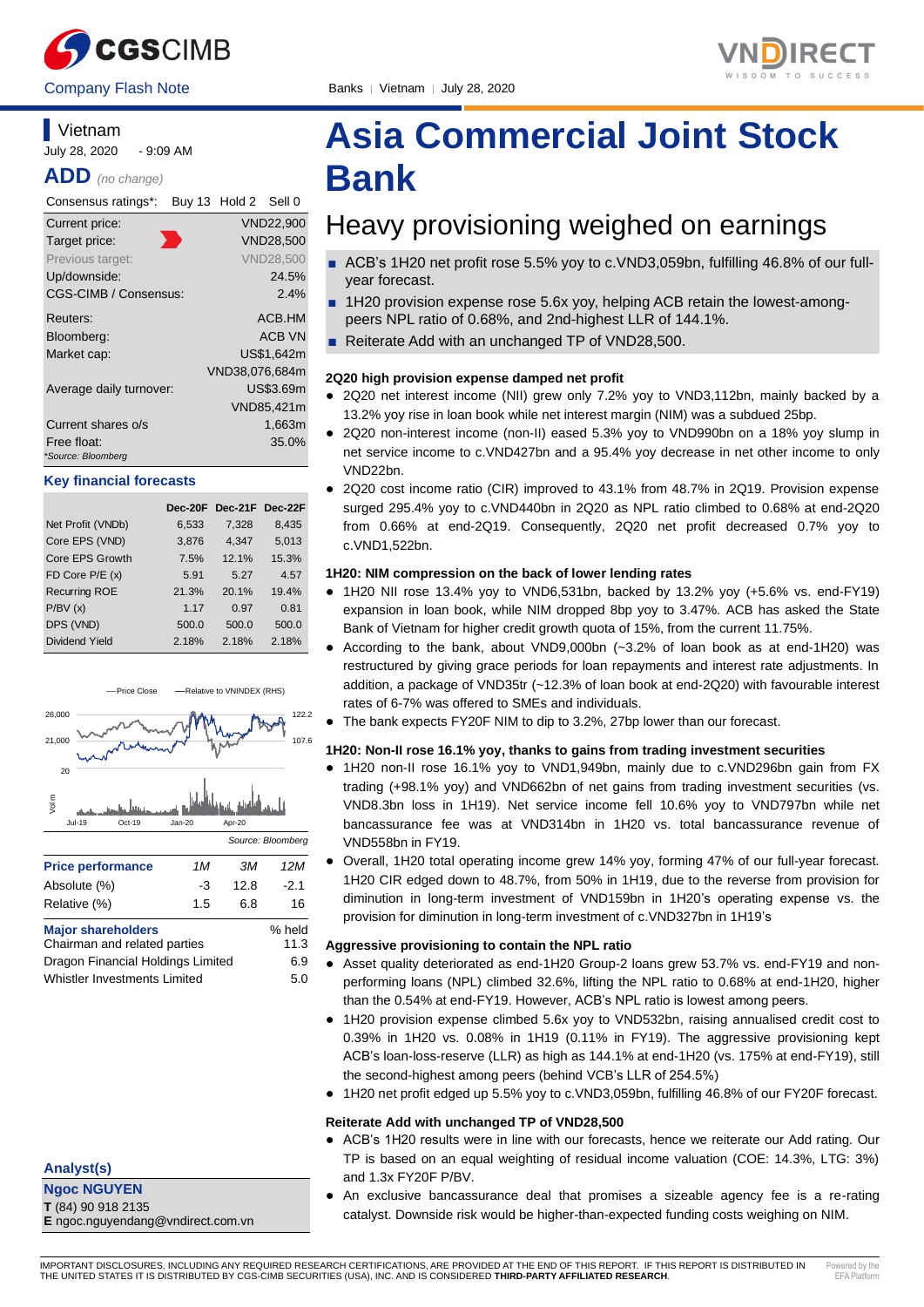

### **Vietnam**

July 28, 2020 - 9:09 AM

**ADD** *(no change)*

| Consensus ratings*:               | Buy 13 Hold 2 Sell 0 |                  |
|-----------------------------------|----------------------|------------------|
| Current price:                    |                      | <b>VND22,900</b> |
| Target price:                     |                      | <b>VND28,500</b> |
| Previous target:                  |                      | <b>VND28.500</b> |
| Up/downside:                      |                      | 24.5%            |
| CGS-CIMB / Consensus:             |                      | $2.4\%$          |
| Reuters:                          |                      | ACB.HM           |
| Bloomberg:                        |                      | <b>ACB VN</b>    |
| Market cap:                       |                      | US\$1.642m       |
|                                   | VND38,076,684m       |                  |
| Average daily turnover:           |                      | US\$3.69m        |
|                                   |                      | VND85,421m       |
| Current shares o/s                |                      | 1,663m           |
| Free float:<br>*Source: Bloomberg |                      | 35.0%            |
|                                   |                      |                  |

#### **Key financial forecasts**

|                      |       | Dec-20F Dec-21F Dec-22F |       |
|----------------------|-------|-------------------------|-------|
| Net Profit (VNDb)    | 6,533 | 7,328                   | 8,435 |
| Core EPS (VND)       | 3,876 | 4,347                   | 5,013 |
| Core EPS Growth      | 7.5%  | 12.1%                   | 15.3% |
| FD Core P/E (x)      | 5.91  | 5.27                    | 4.57  |
| <b>Recurring ROE</b> | 21.3% | 20.1%                   | 19.4% |
| P/BV(x)              | 1.17  | 0.97                    | 0.81  |
| DPS (VND)            | 500.0 | 500.0                   | 500.0 |
| Dividend Yield       | 2.18% | 2.18%                   | 2.18% |



#### **Analyst(s)**

**Ngoc NGUYEN T** (84) 90 918 2135 **E** ngoc.nguyendang@vndirect.com.vn

# **Asia Commercial Joint Stock Bank**

# Heavy provisioning weighed on earnings

- ACB's 1H20 net profit rose 5.5% yoy to c.VND3,059bn, fulfilling 46.8% of our fullyear forecast.
- 1H20 provision expense rose 5.6x yoy, helping ACB retain the lowest-amongpeers NPL ratio of 0.68%, and 2nd-highest LLR of 144.1%.
- Reiterate Add with an unchanged TP of VND28,500.

#### **2Q20 high provision expense damped net profit**

- 2Q20 net interest income (NII) grew only 7.2% yoy to VND3,112bn, mainly backed by a 13.2% yoy rise in loan book while net interest margin (NIM) was a subdued 25bp.
- 2Q20 non-interest income (non-II) eased 5.3% yoy to VND990bn on a 18% yoy slump in net service income to c.VND427bn and a 95.4% yoy decrease in net other income to only VND22bn.
- 2Q20 cost income ratio (CIR) improved to 43.1% from 48.7% in 2Q19. Provision expense surged 295.4% yoy to c.VND440bn in 2Q20 as NPL ratio climbed to 0.68% at end-2Q20 from 0.66% at end-2Q19. Consequently, 2Q20 net profit decreased 0.7% yoy to c.VND1,522bn.

#### **1H20: NIM compression on the back of lower lending rates**

- 1H20 NII rose 13.4% yoy to VND6,531bn, backed by 13.2% yoy (+5.6% vs. end-FY19) expansion in loan book, while NIM dropped 8bp yoy to 3.47%. ACB has asked the State Bank of Vietnam for higher credit growth quota of 15%, from the current 11.75%.
- According to the bank, about VND9,000bn (~3.2% of loan book as at end-1H20) was restructured by giving grace periods for loan repayments and interest rate adjustments. In addition, a package of VND35tr (~12.3% of loan book at end-2Q20) with favourable interest rates of 6-7% was offered to SMEs and individuals.
- The bank expects FY20F NIM to dip to 3.2%, 27bp lower than our forecast.

#### **1H20: Non-II rose 16.1% yoy, thanks to gains from trading investment securities**

- 1H20 non-II rose 16.1% yoy to VND1,949bn, mainly due to c.VND296bn gain from FX trading (+98.1% yoy) and VND662bn of net gains from trading investment securities (vs. VND8.3bn loss in 1H19). Net service income fell 10.6% yoy to VND797bn while net bancassurance fee was at VND314bn in 1H20 vs. total bancassurance revenue of VND558bn in FY19.
- Overall, 1H20 total operating income grew 14% yoy, forming 47% of our full-year forecast. 1H20 CIR edged down to 48.7%, from 50% in 1H19, due to the reverse from provision for diminution in long-term investment of VND159bn in 1H20's operating expense vs. the provision for diminution in long-term investment of c.VND327bn in 1H19's

#### **Aggressive provisioning to contain the NPL ratio**

- Asset quality deteriorated as end-1H20 Group-2 loans grew 53.7% vs. end-FY19 and nonperforming loans (NPL) climbed 32.6%, lifting the NPL ratio to 0.68% at end-1H20, higher than the 0.54% at end-FY19. However, ACB's NPL ratio is lowest among peers.
- 1H20 provision expense climbed 5.6x yoy to VND532bn, raising annualised credit cost to 0.39% in 1H20 vs. 0.08% in 1H19 (0.11% in FY19). The aggressive provisioning kept ACB's loan-loss-reserve (LLR) as high as 144.1% at end-1H20 (vs. 175% at end-FY19), still the second-highest among peers (behind VCB's LLR of 254.5%)
- 1H20 net profit edged up 5.5% yoy to c.VND3,059bn, fulfilling 46.8% of our FY20F forecast.

#### **Reiterate Add with unchanged TP of VND28,500**

- ACB's 1H20 results were in line with our forecasts, hence we reiterate our Add rating. Our TP is based on an equal weighting of residual income valuation (COE: 14.3%, LTG: 3%) and 1.3x FY20F P/BV.
- An exclusive bancassurance deal that promises a sizeable agency fee is a re-rating catalyst. Downside risk would be higher-than-expected funding costs weighing on NIM.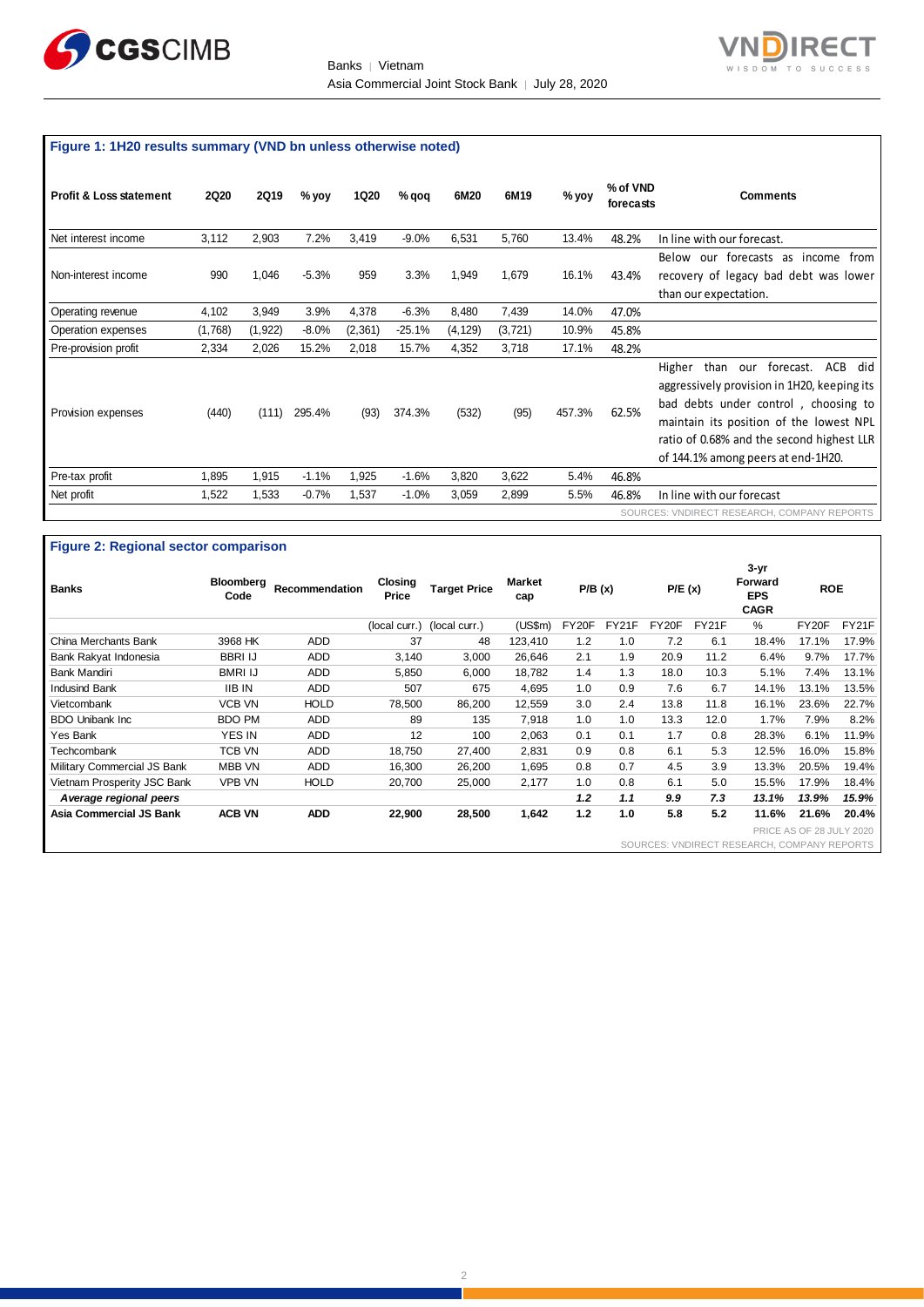



# **Figure 1: 1H20 results summary (VND bn unless otherwise noted)**

| <b>Profit &amp; Loss statement</b> | <b>2Q20</b> | <b>2Q19</b> | % yoy   | <b>1Q20</b> | % qoq    | 6M20     | 6M19     | $%$ yoy | % of VND<br>forecasts | Comments                                                                                                                                                                                                                                                              |
|------------------------------------|-------------|-------------|---------|-------------|----------|----------|----------|---------|-----------------------|-----------------------------------------------------------------------------------------------------------------------------------------------------------------------------------------------------------------------------------------------------------------------|
| Net interest income                | 3,112       | 2,903       | 7.2%    | 3,419       | $-9.0%$  | 6,531    | 5,760    | 13.4%   | 48.2%                 | In line with our forecast.                                                                                                                                                                                                                                            |
| Non-interest income                | 990         | 1,046       | $-5.3%$ | 959         | 3.3%     | 1,949    | 1,679    | 16.1%   | 43.4%                 | Below<br>our forecasts<br>income<br>from<br>as<br>recovery of legacy bad debt was lower<br>than our expectation.                                                                                                                                                      |
| Operating revenue                  | 4,102       | 3,949       | 3.9%    | 4,378       | $-6.3%$  | 8,480    | 7,439    | 14.0%   | 47.0%                 |                                                                                                                                                                                                                                                                       |
| Operation expenses                 | (1,768)     | (1, 922)    | $-8.0%$ | (2, 361)    | $-25.1%$ | (4, 129) | (3, 721) | 10.9%   | 45.8%                 |                                                                                                                                                                                                                                                                       |
| Pre-provision profit               | 2,334       | 2,026       | 15.2%   | 2,018       | 15.7%    | 4,352    | 3,718    | 17.1%   | 48.2%                 |                                                                                                                                                                                                                                                                       |
| Provision expenses                 | (440)       | (111)       | 295.4%  | (93)        | 374.3%   | (532)    | (95)     | 457.3%  | 62.5%                 | forecast.<br>ACB<br>than<br>Higher<br>did<br>our<br>aggressively provision in 1H20, keeping its<br>bad debts under control, choosing to<br>maintain its position of the lowest NPL<br>ratio of 0.68% and the second highest LLR<br>of 144.1% among peers at end-1H20. |
| Pre-tax profit                     | 1,895       | 1,915       | $-1.1%$ | 1,925       | $-1.6%$  | 3,820    | 3,622    | 5.4%    | 46.8%                 |                                                                                                                                                                                                                                                                       |
| Net profit                         | 1,522       | 1,533       | $-0.7%$ | 1,537       | $-1.0%$  | 3,059    | 2,899    | 5.5%    | 46.8%                 | In line with our forecast                                                                                                                                                                                                                                             |
|                                    |             |             |         |             |          |          |          |         |                       | SOURCES: VNDIRECT RESEARCH, COMPANY REPORTS                                                                                                                                                                                                                           |

#### **Figure 2: Regional sector comparison**

| <b>Banks</b>                | Bloomberg<br>Code | Recommendation | Closing<br>Price | <b>Target Price</b> | <b>Market</b><br>cap | P/B(x) |       | P/E(x) |       | $3 - yr$<br><b>Forward</b><br><b>EPS</b><br><b>CAGR</b> | <b>ROE</b>               |       |
|-----------------------------|-------------------|----------------|------------------|---------------------|----------------------|--------|-------|--------|-------|---------------------------------------------------------|--------------------------|-------|
|                             |                   |                | (local curr.)    | (local curr.)       | (US\$m)              | FY20F  | FY21F | FY20F  | FY21F | %                                                       | FY20F                    | FY21F |
| China Merchants Bank        | 3968 HK           | <b>ADD</b>     | 37               | 48                  | 123,410              | 1.2    | 1.0   | 7.2    | 6.1   | 18.4%                                                   | 17.1%                    | 17.9% |
| Bank Rakyat Indonesia       | <b>BBRI IJ</b>    | <b>ADD</b>     | 3,140            | 3,000               | 26,646               | 2.1    | 1.9   | 20.9   | 11.2  | 6.4%                                                    | 9.7%                     | 17.7% |
| <b>Bank Mandiri</b>         | <b>BMRI IJ</b>    | <b>ADD</b>     | 5,850            | 6,000               | 18,782               | 1.4    | 1.3   | 18.0   | 10.3  | 5.1%                                                    | 7.4%                     | 13.1% |
| <b>Indusind Bank</b>        | <b>IIB IN</b>     | <b>ADD</b>     | 507              | 675                 | 4,695                | 1.0    | 0.9   | 7.6    | 6.7   | 14.1%                                                   | 13.1%                    | 13.5% |
| Vietcombank                 | <b>VCB VN</b>     | <b>HOLD</b>    | 78,500           | 86,200              | 12,559               | 3.0    | 2.4   | 13.8   | 11.8  | 16.1%                                                   | 23.6%                    | 22.7% |
| <b>BDO Unibank Inc.</b>     | <b>BDO PM</b>     | ADD            | 89               | 135                 | 7,918                | 1.0    | 1.0   | 13.3   | 12.0  | 1.7%                                                    | 7.9%                     | 8.2%  |
| Yes Bank                    | <b>YES IN</b>     | <b>ADD</b>     | 12               | 100                 | 2.063                | 0.1    | 0.1   | 1.7    | 0.8   | 28.3%                                                   | 6.1%                     | 11.9% |
| Techcombank                 | TCB VN            | <b>ADD</b>     | 18.750           | 27,400              | 2.831                | 0.9    | 0.8   | 6.1    | 5.3   | 12.5%                                                   | 16.0%                    | 15.8% |
| Military Commercial JS Bank | <b>MBB VN</b>     | <b>ADD</b>     | 16,300           | 26,200              | 1,695                | 0.8    | 0.7   | 4.5    | 3.9   | 13.3%                                                   | 20.5%                    | 19.4% |
| Vietnam Prosperity JSC Bank | <b>VPB VN</b>     | <b>HOLD</b>    | 20,700           | 25,000              | 2,177                | 1.0    | 0.8   | 6.1    | 5.0   | 15.5%                                                   | 17.9%                    | 18.4% |
| Average regional peers      |                   |                |                  |                     |                      | 1.2    | 1.1   | 9.9    | 7.3   | 13.1%                                                   | 13.9%                    | 15.9% |
| Asia Commercial JS Bank     | <b>ACB VN</b>     | <b>ADD</b>     | 22,900           | 28,500              | 1,642                | 1.2    | 1.0   | 5.8    | 5.2   | 11.6%                                                   | 21.6%                    | 20.4% |
|                             |                   |                |                  |                     |                      |        |       |        |       |                                                         | PRICE AS OF 28 JULY 2020 |       |
|                             |                   |                |                  |                     |                      |        |       |        |       | SOURCES: VNDIRECT RESEARCH, COMPANY REPORTS             |                          |       |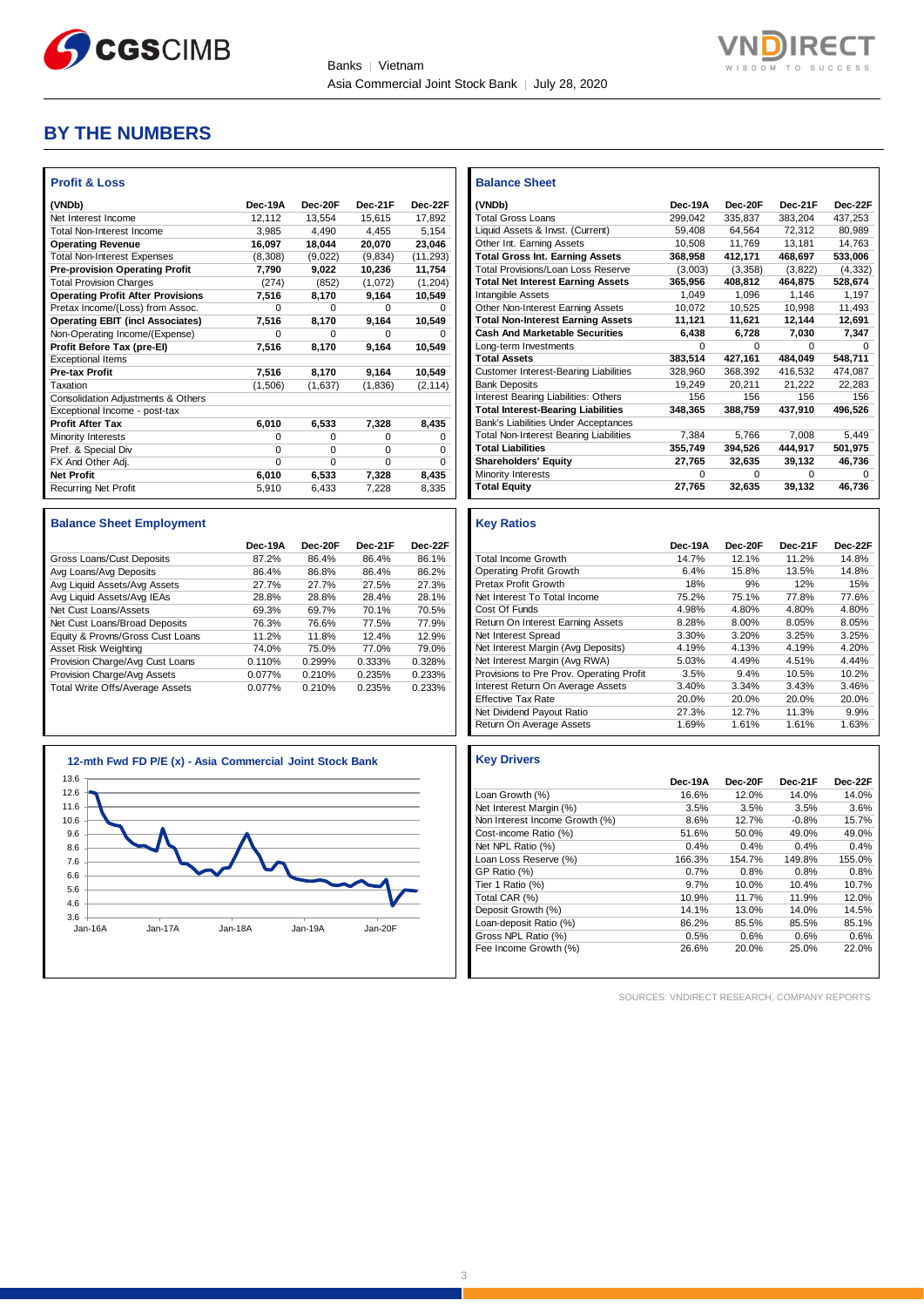

**Balance Sheet** 



## **BY THE NUMBERS**

| <b>Profit &amp; Loss</b>                 |          |          |          |           |
|------------------------------------------|----------|----------|----------|-----------|
| (VNDb)                                   | Dec-19A  | Dec-20E  | Dec-21F  | Dec-22F   |
| Net Interest Income                      | 12.112   | 13.554   | 15.615   | 17.892    |
| <b>Total Non-Interest Income</b>         | 3,985    | 4.490    | 4.455    | 5.154     |
| <b>Operating Revenue</b>                 | 16,097   | 18,044   | 20,070   | 23,046    |
| <b>Total Non-Interest Expenses</b>       | (8,308)  | (9,022)  | (9,834)  | (11, 293) |
| <b>Pre-provision Operating Profit</b>    | 7.790    | 9.022    | 10,236   | 11,754    |
| <b>Total Provision Charges</b>           | (274)    | (852)    | (1,072)  | (1,204)   |
| <b>Operating Profit After Provisions</b> | 7,516    | 8,170    | 9,164    | 10,549    |
| Pretax Income/(Loss) from Assoc.         | $\Omega$ | $\Omega$ | $\Omega$ | 0         |
| <b>Operating EBIT (incl Associates)</b>  | 7,516    | 8,170    | 9,164    | 10,549    |
| Non-Operating Income/(Expense)           | O        | O        | O        | 0         |
| Profit Before Tax (pre-El)               | 7.516    | 8.170    | 9.164    | 10.549    |
| <b>Exceptional Items</b>                 |          |          |          |           |
| <b>Pre-tax Profit</b>                    | 7,516    | 8,170    | 9.164    | 10,549    |
| Taxation                                 | (1,506)  | (1,637)  | (1,836)  | (2, 114)  |
| Consolidation Adjustments & Others       |          |          |          |           |
| Exceptional Income - post-tax            |          |          |          |           |
| <b>Profit After Tax</b>                  | 6,010    | 6,533    | 7,328    | 8.435     |
| Minority Interests                       | $\Omega$ | 0        | $\Omega$ | $\Omega$  |
| Pref. & Special Div                      | $\Omega$ | 0        | $\Omega$ | 0         |
| FX And Other Adj.                        | $\Omega$ | $\Omega$ | $\Omega$ | $\Omega$  |
| <b>Net Profit</b>                        | 6,010    | 6,533    | 7,328    | 8,435     |
| <b>Recurring Net Profit</b>              | 5,910    | 6,433    | 7,228    | 8,335     |

#### **Balance Sheet Employment**

|                                  | Dec-19A | Dec-20F | Dec-21F | Dec-22F |
|----------------------------------|---------|---------|---------|---------|
| Gross Loans/Cust Deposits        | 87.2%   | 86.4%   | 86.4%   | 86.1%   |
| Avg Loans/Avg Deposits           | 86.4%   | 86.8%   | 86.4%   | 86.2%   |
| Avg Liquid Assets/Avg Assets     | 27.7%   | 27.7%   | 27.5%   | 27.3%   |
| Avg Liquid Assets/Avg IEAs       | 28.8%   | 28.8%   | 28.4%   | 28.1%   |
| Net Cust Loans/Assets            | 69.3%   | 69.7%   | 70.1%   | 70.5%   |
| Net Cust Loans/Broad Deposits    | 76.3%   | 76.6%   | 77.5%   | 77.9%   |
| Equity & Provns/Gross Cust Loans | 11.2%   | 11.8%   | 12.4%   | 12.9%   |
| Asset Risk Weighting             | 74.0%   | 75.0%   | 77.0%   | 79.0%   |
| Provision Charge/Avg Cust Loans  | 0.110%  | 0.299%  | 0.333%  | 0.328%  |
| Provision Charge/Avg Assets      | 0.077%  | 0.210%  | 0.235%  | 0.233%  |
| Total Write Offs/Average Assets  | 0.077%  | 0.210%  | 0.235%  | 0.233%  |



| (VNDb)                                        | Dec-19A  | Dec-20F  | Dec-21F | Dec-22F  |
|-----------------------------------------------|----------|----------|---------|----------|
| <b>Total Gross Loans</b>                      | 299,042  | 335,837  | 383,204 | 437,253  |
| Liquid Assets & Invst. (Current)              | 59,408   | 64,564   | 72,312  | 80,989   |
| Other Int. Earning Assets                     | 10,508   | 11,769   | 13,181  | 14,763   |
| <b>Total Gross Int. Earning Assets</b>        | 368,958  | 412,171  | 468,697 | 533,006  |
| <b>Total Provisions/Loan Loss Reserve</b>     | (3,003)  | (3,358)  | (3,822) | (4, 332) |
| <b>Total Net Interest Earning Assets</b>      | 365,956  | 408,812  | 464,875 | 528,674  |
| <b>Intangible Assets</b>                      | 1,049    | 1,096    | 1.146   | 1,197    |
| Other Non-Interest Earning Assets             | 10,072   | 10,525   | 10,998  | 11,493   |
| <b>Total Non-Interest Earning Assets</b>      | 11,121   | 11,621   | 12,144  | 12,691   |
| <b>Cash And Marketable Securities</b>         | 6,438    | 6,728    | 7,030   | 7,347    |
| Long-term Investments                         | $\Omega$ | $\Omega$ | 0       | U        |
| <b>Total Assets</b>                           | 383,514  | 427,161  | 484,049 | 548,711  |
| <b>Customer Interest-Bearing Liabilities</b>  | 328,960  | 368,392  | 416,532 | 474,087  |
| <b>Bank Deposits</b>                          | 19,249   | 20,211   | 21,222  | 22,283   |
| Interest Bearing Liabilities: Others          | 156      | 156      | 156     | 156      |
| <b>Total Interest-Bearing Liabilities</b>     | 348,365  | 388,759  | 437,910 | 496,526  |
| Bank's Liabilities Under Acceptances          |          |          |         |          |
| <b>Total Non-Interest Bearing Liabilities</b> | 7,384    | 5,766    | 7,008   | 5,449    |
| <b>Total Liabilities</b>                      | 355,749  | 394,526  | 444,917 | 501,975  |
| <b>Shareholders' Equity</b>                   | 27,765   | 32,635   | 39,132  | 46,736   |
| Minority Interests                            | 0        | 0        | 0       | 0        |
| <b>Total Equity</b>                           | 27,765   | 32,635   | 39,132  | 46,736   |

#### **Key Ratios**

|                                          | Dec-19A | Dec-20F | Dec-21F | Dec-22F |
|------------------------------------------|---------|---------|---------|---------|
| <b>Total Income Growth</b>               | 14.7%   | 12.1%   | 11.2%   | 14.8%   |
| <b>Operating Profit Growth</b>           | 6.4%    | 15.8%   | 13.5%   | 14.8%   |
| Pretax Profit Growth                     | 18%     | 9%      | 12%     | 15%     |
| Net Interest To Total Income             | 75.2%   | 75.1%   | 77.8%   | 77.6%   |
| Cost Of Funds                            | 4.98%   | 4.80%   | 4.80%   | 4.80%   |
| Return On Interest Earning Assets        | 8.28%   | 8.00%   | 8.05%   | 8.05%   |
| Net Interest Spread                      | 3.30%   | 3.20%   | 3.25%   | 3.25%   |
| Net Interest Margin (Avg Deposits)       | 4.19%   | 4.13%   | 4.19%   | 4.20%   |
| Net Interest Margin (Avg RWA)            | 5.03%   | 4.49%   | 4.51%   | 4.44%   |
| Provisions to Pre Prov. Operating Profit | 3.5%    | 9.4%    | 10.5%   | 10.2%   |
| Interest Return On Average Assets        | 3.40%   | 3.34%   | 3.43%   | 3.46%   |
| <b>Effective Tax Rate</b>                | 20.0%   | 20.0%   | 20.0%   | 20.0%   |
| Net Dividend Payout Ratio                | 27.3%   | 12.7%   | 11.3%   | 9.9%    |
| Return On Average Assets                 | 1.69%   | 1.61%   | 1.61%   | 1.63%   |

| <b>Key Drivers</b>             |         |         |         |         |
|--------------------------------|---------|---------|---------|---------|
|                                | Dec-19A | Dec-20F | Dec-21F | Dec-22F |
| Loan Growth (%)                | 16.6%   | 12.0%   | 14.0%   | 14.0%   |
| Net Interest Margin (%)        | 3.5%    | 3.5%    | 3.5%    | 3.6%    |
| Non Interest Income Growth (%) | 8.6%    | 12.7%   | $-0.8%$ | 15.7%   |
| Cost-income Ratio (%)          | 51.6%   | 50.0%   | 49.0%   | 49.0%   |
| Net NPL Ratio (%)              | 0.4%    | 0.4%    | 0.4%    | 0.4%    |
| Loan Loss Reserve (%)          | 166.3%  | 154.7%  | 149.8%  | 155.0%  |
| GP Ratio (%)                   | 0.7%    | 0.8%    | 0.8%    | 0.8%    |
| Tier 1 Ratio (%)               | 9.7%    | 10.0%   | 10.4%   | 10.7%   |
| Total CAR (%)                  | 10.9%   | 11.7%   | 11.9%   | 12.0%   |
| Deposit Growth (%)             | 14.1%   | 13.0%   | 14.0%   | 14.5%   |
| Loan-deposit Ratio (%)         | 86.2%   | 85.5%   | 85.5%   | 85.1%   |
| Gross NPL Ratio (%)            | 0.5%    | 0.6%    | 0.6%    | 0.6%    |
| Fee Income Growth (%)          | 26.6%   | 20.0%   | 25.0%   | 22.0%   |

SOURCES: VNDIRECT RESEARCH, COMPANY REPORTS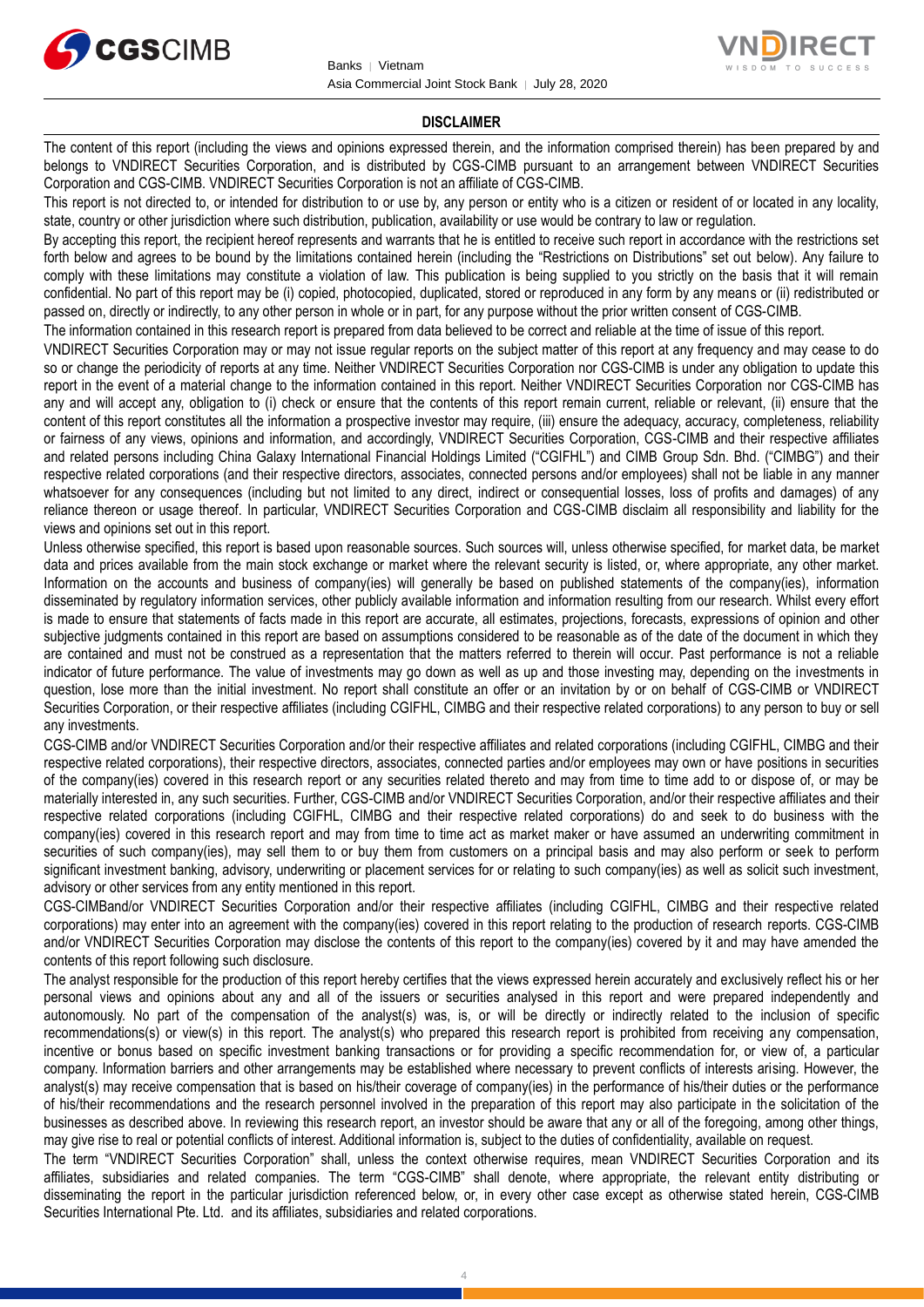



#### **DISCLAIMER**

The content of this report (including the views and opinions expressed therein, and the information comprised therein) has been prepared by and belongs to VNDIRECT Securities Corporation, and is distributed by CGS-CIMB pursuant to an arrangement between VNDIRECT Securities Corporation and CGS-CIMB. VNDIRECT Securities Corporation is not an affiliate of CGS-CIMB.

This report is not directed to, or intended for distribution to or use by, any person or entity who is a citizen or resident of or located in any locality, state, country or other jurisdiction where such distribution, publication, availability or use would be contrary to law or regulation.

By accepting this report, the recipient hereof represents and warrants that he is entitled to receive such report in accordance with the restrictions set forth below and agrees to be bound by the limitations contained herein (including the "Restrictions on Distributions" set out below). Any failure to comply with these limitations may constitute a violation of law. This publication is being supplied to you strictly on the basis that it will remain confidential. No part of this report may be (i) copied, photocopied, duplicated, stored or reproduced in any form by any means or (ii) redistributed or passed on, directly or indirectly, to any other person in whole or in part, for any purpose without the prior written consent of CGS-CIMB.

The information contained in this research report is prepared from data believed to be correct and reliable at the time of issue of this report.

VNDIRECT Securities Corporation may or may not issue regular reports on the subject matter of this report at any frequency and may cease to do so or change the periodicity of reports at any time. Neither VNDIRECT Securities Corporation nor CGS-CIMB is under any obligation to update this report in the event of a material change to the information contained in this report. Neither VNDIRECT Securities Corporation nor CGS-CIMB has any and will accept any, obligation to (i) check or ensure that the contents of this report remain current, reliable or relevant, (ii) ensure that the content of this report constitutes all the information a prospective investor may require, (iii) ensure the adequacy, accuracy, completeness, reliability or fairness of any views, opinions and information, and accordingly, VNDIRECT Securities Corporation, CGS-CIMB and their respective affiliates and related persons including China Galaxy International Financial Holdings Limited ("CGIFHL") and CIMB Group Sdn. Bhd. ("CIMBG") and their respective related corporations (and their respective directors, associates, connected persons and/or employees) shall not be liable in any manner whatsoever for any consequences (including but not limited to any direct, indirect or consequential losses, loss of profits and damages) of any reliance thereon or usage thereof. In particular, VNDIRECT Securities Corporation and CGS-CIMB disclaim all responsibility and liability for the views and opinions set out in this report.

Unless otherwise specified, this report is based upon reasonable sources. Such sources will, unless otherwise specified, for market data, be market data and prices available from the main stock exchange or market where the relevant security is listed, or, where appropriate, any other market. Information on the accounts and business of company(ies) will generally be based on published statements of the company(ies), information disseminated by regulatory information services, other publicly available information and information resulting from our research. Whilst every effort is made to ensure that statements of facts made in this report are accurate, all estimates, projections, forecasts, expressions of opinion and other subjective judgments contained in this report are based on assumptions considered to be reasonable as of the date of the document in which they are contained and must not be construed as a representation that the matters referred to therein will occur. Past performance is not a reliable indicator of future performance. The value of investments may go down as well as up and those investing may, depending on the investments in question, lose more than the initial investment. No report shall constitute an offer or an invitation by or on behalf of CGS-CIMB or VNDIRECT Securities Corporation, or their respective affiliates (including CGIFHL, CIMBG and their respective related corporations) to any person to buy or sell any investments.

CGS-CIMB and/or VNDIRECT Securities Corporation and/or their respective affiliates and related corporations (including CGIFHL, CIMBG and their respective related corporations), their respective directors, associates, connected parties and/or employees may own or have positions in securities of the company(ies) covered in this research report or any securities related thereto and may from time to time add to or dispose of, or may be materially interested in, any such securities. Further, CGS-CIMB and/or VNDIRECT Securities Corporation, and/or their respective affiliates and their respective related corporations (including CGIFHL, CIMBG and their respective related corporations) do and seek to do business with the company(ies) covered in this research report and may from time to time act as market maker or have assumed an underwriting commitment in securities of such company(ies), may sell them to or buy them from customers on a principal basis and may also perform or seek to perform significant investment banking, advisory, underwriting or placement services for or relating to such company(ies) as well as solicit such investment, advisory or other services from any entity mentioned in this report.

CGS-CIMBand/or VNDIRECT Securities Corporation and/or their respective affiliates (including CGIFHL, CIMBG and their respective related corporations) may enter into an agreement with the company(ies) covered in this report relating to the production of research reports. CGS-CIMB and/or VNDIRECT Securities Corporation may disclose the contents of this report to the company(ies) covered by it and may have amended the contents of this report following such disclosure.

The analyst responsible for the production of this report hereby certifies that the views expressed herein accurately and exclusively reflect his or her personal views and opinions about any and all of the issuers or securities analysed in this report and were prepared independently and autonomously. No part of the compensation of the analyst(s) was, is, or will be directly or indirectly related to the inclusion of specific recommendations(s) or view(s) in this report. The analyst(s) who prepared this research report is prohibited from receiving any compensation, incentive or bonus based on specific investment banking transactions or for providing a specific recommendation for, or view of, a particular company. Information barriers and other arrangements may be established where necessary to prevent conflicts of interests arising. However, the analyst(s) may receive compensation that is based on his/their coverage of company(ies) in the performance of his/their duties or the performance of his/their recommendations and the research personnel involved in the preparation of this report may also participate in the solicitation of the businesses as described above. In reviewing this research report, an investor should be aware that any or all of the foregoing, among other things, may give rise to real or potential conflicts of interest. Additional information is, subject to the duties of confidentiality, available on request.

The term "VNDIRECT Securities Corporation" shall, unless the context otherwise requires, mean VNDIRECT Securities Corporation and its affiliates, subsidiaries and related companies. The term "CGS-CIMB" shall denote, where appropriate, the relevant entity distributing or disseminating the report in the particular jurisdiction referenced below, or, in every other case except as otherwise stated herein, CGS-CIMB Securities International Pte. Ltd. and its affiliates, subsidiaries and related corporations.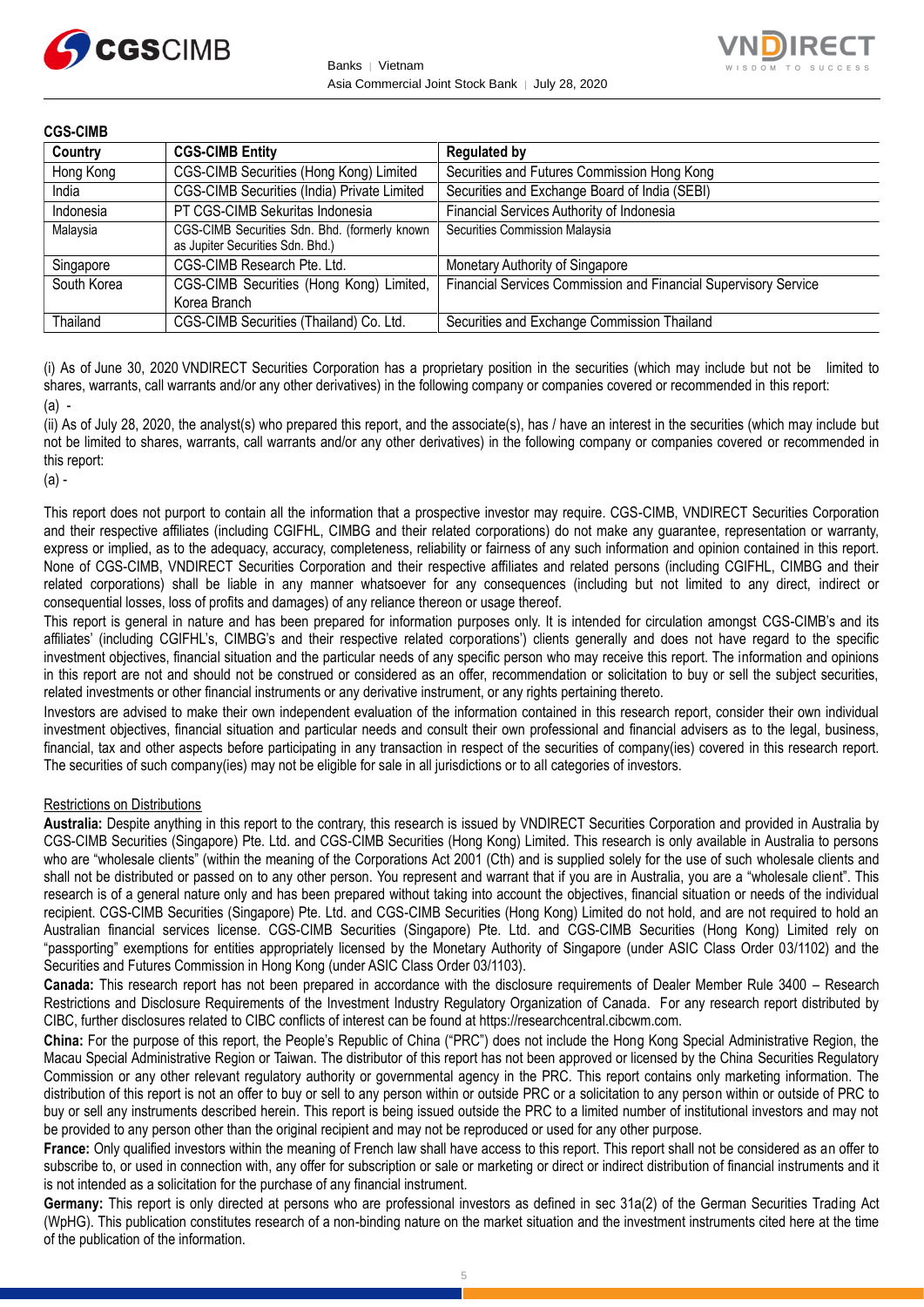



| <b>CGS-CIMB</b> |                                                                                   |                                                                 |
|-----------------|-----------------------------------------------------------------------------------|-----------------------------------------------------------------|
| Country         | <b>CGS-CIMB Entity</b>                                                            | <b>Regulated by</b>                                             |
| Hong Kong       | CGS-CIMB Securities (Hong Kong) Limited                                           | Securities and Futures Commission Hong Kong                     |
| India           | <b>CGS-CIMB Securities (India) Private Limited</b>                                | Securities and Exchange Board of India (SEBI)                   |
| Indonesia       | PT CGS-CIMB Sekuritas Indonesia                                                   | Financial Services Authority of Indonesia                       |
| Malaysia        | CGS-CIMB Securities Sdn. Bhd. (formerly known<br>as Jupiter Securities Sdn. Bhd.) | Securities Commission Malaysia                                  |
| Singapore       | CGS-CIMB Research Pte. Ltd.                                                       | Monetary Authority of Singapore                                 |
| South Korea     | CGS-CIMB Securities (Hong Kong) Limited,<br>Korea Branch                          | Financial Services Commission and Financial Supervisory Service |
| Thailand        | CGS-CIMB Securities (Thailand) Co. Ltd.                                           | Securities and Exchange Commission Thailand                     |

(i) As of June 30, 2020 VNDIRECT Securities Corporation has a proprietary position in the securities (which may include but not be limited to shares, warrants, call warrants and/or any other derivatives) in the following company or companies covered or recommended in this report: (a) -

(ii) As of July 28, 2020, the analyst(s) who prepared this report, and the associate(s), has / have an interest in the securities (which may include but not be limited to shares, warrants, call warrants and/or any other derivatives) in the following company or companies covered or recommended in this report:

(a) -

This report does not purport to contain all the information that a prospective investor may require. CGS-CIMB, VNDIRECT Securities Corporation and their respective affiliates (including CGIFHL, CIMBG and their related corporations) do not make any guarantee, representation or warranty, express or implied, as to the adequacy, accuracy, completeness, reliability or fairness of any such information and opinion contained in this report. None of CGS-CIMB, VNDIRECT Securities Corporation and their respective affiliates and related persons (including CGIFHL, CIMBG and their related corporations) shall be liable in any manner whatsoever for any consequences (including but not limited to any direct, indirect or consequential losses, loss of profits and damages) of any reliance thereon or usage thereof.

This report is general in nature and has been prepared for information purposes only. It is intended for circulation amongst CGS-CIMB's and its affiliates' (including CGIFHL's, CIMBG's and their respective related corporations') clients generally and does not have regard to the specific investment objectives, financial situation and the particular needs of any specific person who may receive this report. The information and opinions in this report are not and should not be construed or considered as an offer, recommendation or solicitation to buy or sell the subject securities, related investments or other financial instruments or any derivative instrument, or any rights pertaining thereto.

Investors are advised to make their own independent evaluation of the information contained in this research report, consider their own individual investment objectives, financial situation and particular needs and consult their own professional and financial advisers as to the legal, business, financial, tax and other aspects before participating in any transaction in respect of the securities of company(ies) covered in this research report. The securities of such company(ies) may not be eligible for sale in all jurisdictions or to all categories of investors.

#### Restrictions on Distributions

**Australia:** Despite anything in this report to the contrary, this research is issued by VNDIRECT Securities Corporation and provided in Australia by CGS-CIMB Securities (Singapore) Pte. Ltd. and CGS-CIMB Securities (Hong Kong) Limited. This research is only available in Australia to persons who are "wholesale clients" (within the meaning of the Corporations Act 2001 (Cth) and is supplied solely for the use of such wholesale clients and shall not be distributed or passed on to any other person. You represent and warrant that if you are in Australia, you are a "wholesale client". This research is of a general nature only and has been prepared without taking into account the objectives, financial situation or needs of the individual recipient. CGS-CIMB Securities (Singapore) Pte. Ltd. and CGS-CIMB Securities (Hong Kong) Limited do not hold, and are not required to hold an Australian financial services license. CGS-CIMB Securities (Singapore) Pte. Ltd. and CGS-CIMB Securities (Hong Kong) Limited rely on "passporting" exemptions for entities appropriately licensed by the Monetary Authority of Singapore (under ASIC Class Order 03/1102) and the Securities and Futures Commission in Hong Kong (under ASIC Class Order 03/1103).

**Canada:** This research report has not been prepared in accordance with the disclosure requirements of Dealer Member Rule 3400 – Research Restrictions and Disclosure Requirements of the Investment Industry Regulatory Organization of Canada. For any research report distributed by CIBC, further disclosures related to CIBC conflicts of interest can be found at https://researchcentral.cibcwm.com.

**China:** For the purpose of this report, the People's Republic of China ("PRC") does not include the Hong Kong Special Administrative Region, the Macau Special Administrative Region or Taiwan. The distributor of this report has not been approved or licensed by the China Securities Regulatory Commission or any other relevant regulatory authority or governmental agency in the PRC. This report contains only marketing information. The distribution of this report is not an offer to buy or sell to any person within or outside PRC or a solicitation to any person within or outside of PRC to buy or sell any instruments described herein. This report is being issued outside the PRC to a limited number of institutional investors and may not be provided to any person other than the original recipient and may not be reproduced or used for any other purpose.

**France:** Only qualified investors within the meaning of French law shall have access to this report. This report shall not be considered as an offer to subscribe to, or used in connection with, any offer for subscription or sale or marketing or direct or indirect distribution of financial instruments and it is not intended as a solicitation for the purchase of any financial instrument.

Germany: This report is only directed at persons who are professional investors as defined in sec 31a(2) of the German Securities Trading Act (WpHG). This publication constitutes research of a non-binding nature on the market situation and the investment instruments cited here at the time of the publication of the information.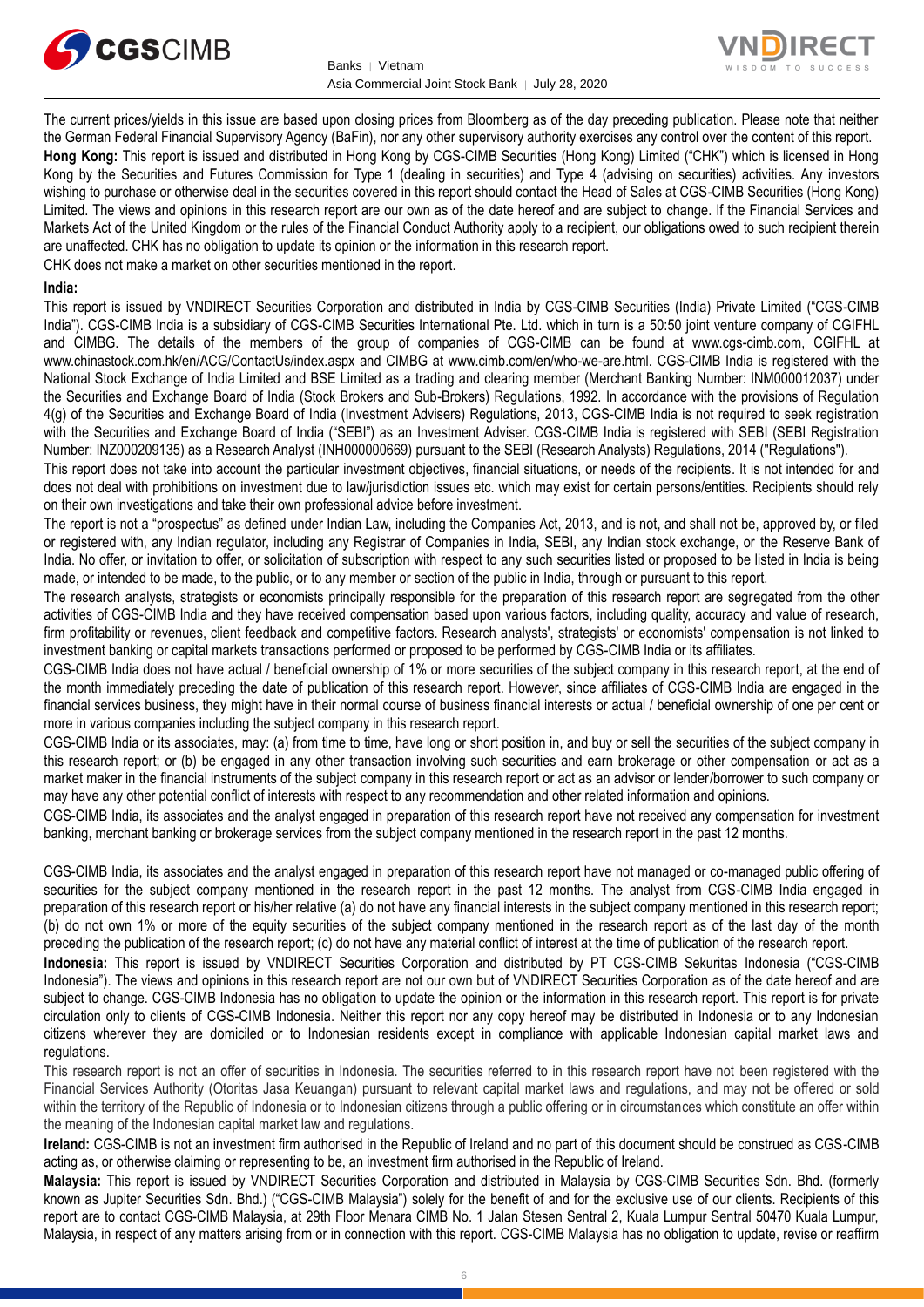



The current prices/yields in this issue are based upon closing prices from Bloomberg as of the day preceding publication. Please note that neither the German Federal Financial Supervisory Agency (BaFin), nor any other supervisory authority exercises any control over the content of this report. **Hong Kong:** This report is issued and distributed in Hong Kong by CGS-CIMB Securities (Hong Kong) Limited ("CHK") which is licensed in Hong Kong by the Securities and Futures Commission for Type 1 (dealing in securities) and Type 4 (advising on securities) activities. Any investors wishing to purchase or otherwise deal in the securities covered in this report should contact the Head of Sales at CGS-CIMB Securities (Hong Kong) Limited. The views and opinions in this research report are our own as of the date hereof and are subject to change. If the Financial Services and Markets Act of the United Kingdom or the rules of the Financial Conduct Authority apply to a recipient, our obligations owed to such recipient therein are unaffected. CHK has no obligation to update its opinion or the information in this research report.

CHK does not make a market on other securities mentioned in the report.

#### **India:**

This report is issued by VNDIRECT Securities Corporation and distributed in India by CGS-CIMB Securities (India) Private Limited ("CGS-CIMB India"). CGS-CIMB India is a subsidiary of CGS-CIMB Securities International Pte. Ltd. which in turn is a 50:50 joint venture company of CGIFHL and CIMBG. The details of the members of the group of companies of CGS-CIMB can be found at www.cgs-cimb.com, CGIFHL at www.chinastock.com.hk/en/ACG/ContactUs/index.aspx and CIMBG at www.cimb.com/en/who-we-are.html. CGS-CIMB India is registered with the National Stock Exchange of India Limited and BSE Limited as a trading and clearing member (Merchant Banking Number: INM000012037) under the Securities and Exchange Board of India (Stock Brokers and Sub-Brokers) Regulations, 1992. In accordance with the provisions of Regulation 4(g) of the Securities and Exchange Board of India (Investment Advisers) Regulations, 2013, CGS-CIMB India is not required to seek registration with the Securities and Exchange Board of India ("SEBI") as an Investment Adviser. CGS-CIMB India is registered with SEBI (SEBI Registration Number: INZ000209135) as a Research Analyst (INH000000669) pursuant to the SEBI (Research Analysts) Regulations, 2014 ("Regulations").

This report does not take into account the particular investment objectives, financial situations, or needs of the recipients. It is not intended for and does not deal with prohibitions on investment due to law/jurisdiction issues etc. which may exist for certain persons/entities. Recipients should rely on their own investigations and take their own professional advice before investment.

The report is not a "prospectus" as defined under Indian Law, including the Companies Act, 2013, and is not, and shall not be, approved by, or filed or registered with, any Indian regulator, including any Registrar of Companies in India, SEBI, any Indian stock exchange, or the Reserve Bank of India. No offer, or invitation to offer, or solicitation of subscription with respect to any such securities listed or proposed to be listed in India is being made, or intended to be made, to the public, or to any member or section of the public in India, through or pursuant to this report.

The research analysts, strategists or economists principally responsible for the preparation of this research report are segregated from the other activities of CGS-CIMB India and they have received compensation based upon various factors, including quality, accuracy and value of research, firm profitability or revenues, client feedback and competitive factors. Research analysts', strategists' or economists' compensation is not linked to investment banking or capital markets transactions performed or proposed to be performed by CGS-CIMB India or its affiliates.

CGS-CIMB India does not have actual / beneficial ownership of 1% or more securities of the subject company in this research report, at the end of the month immediately preceding the date of publication of this research report. However, since affiliates of CGS-CIMB India are engaged in the financial services business, they might have in their normal course of business financial interests or actual / beneficial ownership of one per cent or more in various companies including the subject company in this research report.

CGS-CIMB India or its associates, may: (a) from time to time, have long or short position in, and buy or sell the securities of the subject company in this research report; or (b) be engaged in any other transaction involving such securities and earn brokerage or other compensation or act as a market maker in the financial instruments of the subject company in this research report or act as an advisor or lender/borrower to such company or may have any other potential conflict of interests with respect to any recommendation and other related information and opinions.

CGS-CIMB India, its associates and the analyst engaged in preparation of this research report have not received any compensation for investment banking, merchant banking or brokerage services from the subject company mentioned in the research report in the past 12 months.

CGS-CIMB India, its associates and the analyst engaged in preparation of this research report have not managed or co-managed public offering of securities for the subject company mentioned in the research report in the past 12 months. The analyst from CGS-CIMB India engaged in preparation of this research report or his/her relative (a) do not have any financial interests in the subject company mentioned in this research report; (b) do not own 1% or more of the equity securities of the subject company mentioned in the research report as of the last day of the month preceding the publication of the research report; (c) do not have any material conflict of interest at the time of publication of the research report.

**Indonesia:** This report is issued by VNDIRECT Securities Corporation and distributed by PT CGS-CIMB Sekuritas Indonesia ("CGS-CIMB Indonesia"). The views and opinions in this research report are not our own but of VNDIRECT Securities Corporation as of the date hereof and are subject to change. CGS-CIMB Indonesia has no obligation to update the opinion or the information in this research report. This report is for private circulation only to clients of CGS-CIMB Indonesia. Neither this report nor any copy hereof may be distributed in Indonesia or to any Indonesian citizens wherever they are domiciled or to Indonesian residents except in compliance with applicable Indonesian capital market laws and regulations.

This research report is not an offer of securities in Indonesia. The securities referred to in this research report have not been registered with the Financial Services Authority (Otoritas Jasa Keuangan) pursuant to relevant capital market laws and regulations, and may not be offered or sold within the territory of the Republic of Indonesia or to Indonesian citizens through a public offering or in circumstances which constitute an offer within the meaning of the Indonesian capital market law and regulations.

**Ireland:** CGS-CIMB is not an investment firm authorised in the Republic of Ireland and no part of this document should be construed as CGS-CIMB acting as, or otherwise claiming or representing to be, an investment firm authorised in the Republic of Ireland.

**Malaysia:** This report is issued by VNDIRECT Securities Corporation and distributed in Malaysia by CGS-CIMB Securities Sdn. Bhd. (formerly known as Jupiter Securities Sdn. Bhd.) ("CGS-CIMB Malaysia") solely for the benefit of and for the exclusive use of our clients. Recipients of this report are to contact CGS-CIMB Malaysia, at 29th Floor Menara CIMB No. 1 Jalan Stesen Sentral 2, Kuala Lumpur Sentral 50470 Kuala Lumpur, Malaysia, in respect of any matters arising from or in connection with this report. CGS-CIMB Malaysia has no obligation to update, revise or reaffirm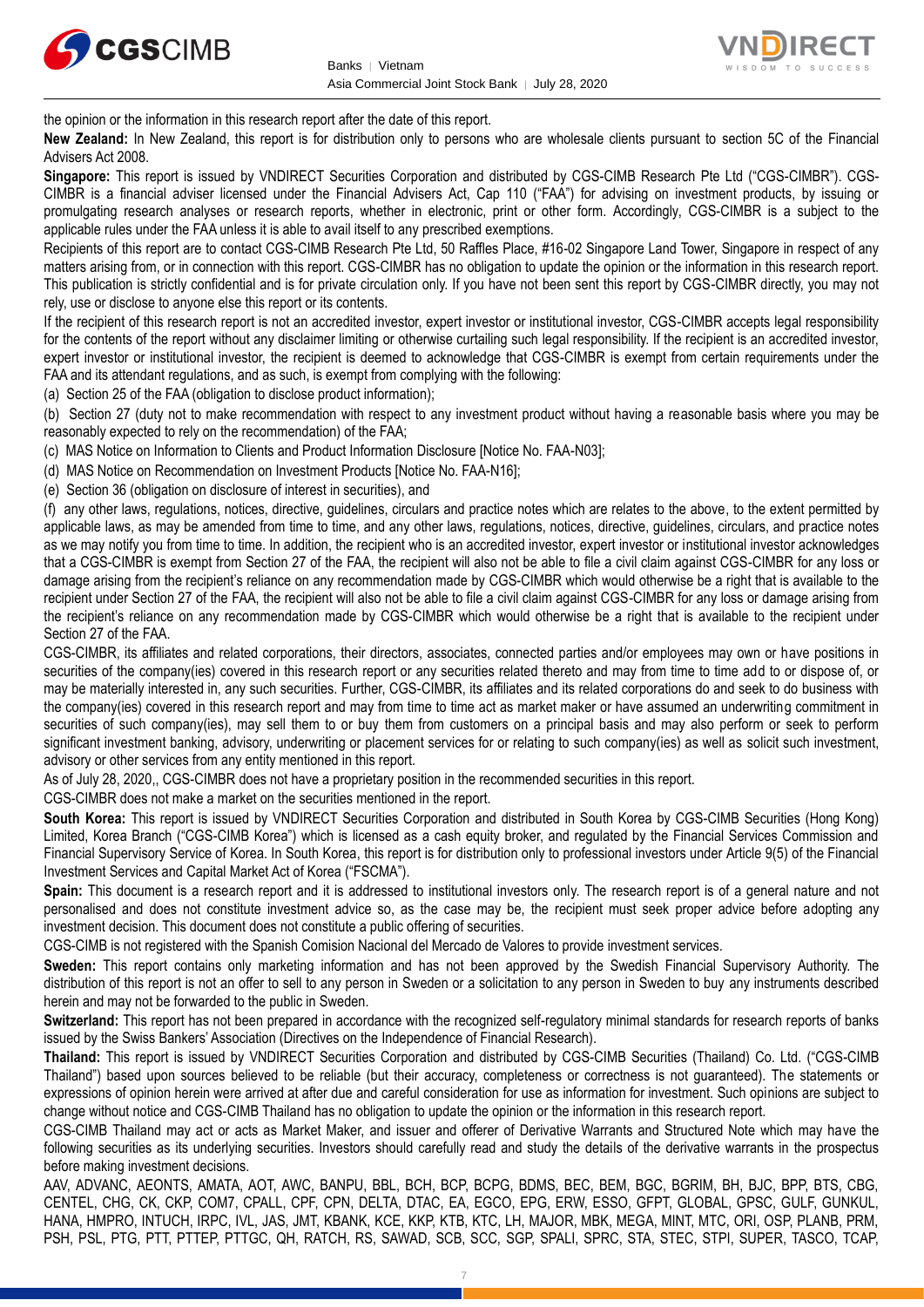



the opinion or the information in this research report after the date of this report.

**New Zealand:** In New Zealand, this report is for distribution only to persons who are wholesale clients pursuant to section 5C of the Financial Advisers Act 2008.

**Singapore:** This report is issued by VNDIRECT Securities Corporation and distributed by CGS-CIMB Research Pte Ltd ("CGS-CIMBR"). CGS-CIMBR is a financial adviser licensed under the Financial Advisers Act, Cap 110 ("FAA") for advising on investment products, by issuing or promulgating research analyses or research reports, whether in electronic, print or other form. Accordingly, CGS-CIMBR is a subject to the applicable rules under the FAA unless it is able to avail itself to any prescribed exemptions.

Recipients of this report are to contact CGS-CIMB Research Pte Ltd, 50 Raffles Place, #16-02 Singapore Land Tower, Singapore in respect of any matters arising from, or in connection with this report. CGS-CIMBR has no obligation to update the opinion or the information in this research report. This publication is strictly confidential and is for private circulation only. If you have not been sent this report by CGS-CIMBR directly, you may not rely, use or disclose to anyone else this report or its contents.

If the recipient of this research report is not an accredited investor, expert investor or institutional investor, CGS-CIMBR accepts legal responsibility for the contents of the report without any disclaimer limiting or otherwise curtailing such legal responsibility. If the recipient is an accredited investor, expert investor or institutional investor, the recipient is deemed to acknowledge that CGS-CIMBR is exempt from certain requirements under the FAA and its attendant regulations, and as such, is exempt from complying with the following:

(a) Section 25 of the FAA (obligation to disclose product information);

(b) Section 27 (duty not to make recommendation with respect to any investment product without having a reasonable basis where you may be reasonably expected to rely on the recommendation) of the FAA;

(c) MAS Notice on Information to Clients and Product Information Disclosure [Notice No. FAA-N03];

(d) MAS Notice on Recommendation on Investment Products [Notice No. FAA-N16];

(e) Section 36 (obligation on disclosure of interest in securities), and

(f) any other laws, regulations, notices, directive, guidelines, circulars and practice notes which are relates to the above, to the extent permitted by applicable laws, as may be amended from time to time, and any other laws, regulations, notices, directive, guidelines, circulars, and practice notes as we may notify you from time to time. In addition, the recipient who is an accredited investor, expert investor or institutional investor acknowledges that a CGS-CIMBR is exempt from Section 27 of the FAA, the recipient will also not be able to file a civil claim against CGS-CIMBR for any loss or damage arising from the recipient's reliance on any recommendation made by CGS-CIMBR which would otherwise be a right that is available to the recipient under Section 27 of the FAA, the recipient will also not be able to file a civil claim against CGS-CIMBR for any loss or damage arising from the recipient's reliance on any recommendation made by CGS-CIMBR which would otherwise be a right that is available to the recipient under Section 27 of the FAA.

CGS-CIMBR, its affiliates and related corporations, their directors, associates, connected parties and/or employees may own or have positions in securities of the company(ies) covered in this research report or any securities related thereto and may from time to time add to or dispose of, or may be materially interested in, any such securities. Further, CGS-CIMBR, its affiliates and its related corporations do and seek to do business with the company(ies) covered in this research report and may from time to time act as market maker or have assumed an underwriting commitment in securities of such company(ies), may sell them to or buy them from customers on a principal basis and may also perform or seek to perform significant investment banking, advisory, underwriting or placement services for or relating to such company(ies) as well as solicit such investment, advisory or other services from any entity mentioned in this report.

As of July 28, 2020,, CGS-CIMBR does not have a proprietary position in the recommended securities in this report.

CGS-CIMBR does not make a market on the securities mentioned in the report.

**South Korea:** This report is issued by VNDIRECT Securities Corporation and distributed in South Korea by CGS-CIMB Securities (Hong Kong) Limited, Korea Branch ("CGS-CIMB Korea") which is licensed as a cash equity broker, and regulated by the Financial Services Commission and Financial Supervisory Service of Korea. In South Korea, this report is for distribution only to professional investors under Article 9(5) of the Financial Investment Services and Capital Market Act of Korea ("FSCMA").

**Spain:** This document is a research report and it is addressed to institutional investors only. The research report is of a general nature and not personalised and does not constitute investment advice so, as the case may be, the recipient must seek proper advice before adopting any investment decision. This document does not constitute a public offering of securities.

CGS-CIMB is not registered with the Spanish Comision Nacional del Mercado de Valores to provide investment services.

**Sweden:** This report contains only marketing information and has not been approved by the Swedish Financial Supervisory Authority. The distribution of this report is not an offer to sell to any person in Sweden or a solicitation to any person in Sweden to buy any instruments described herein and may not be forwarded to the public in Sweden.

Switzerland: This report has not been prepared in accordance with the recognized self-regulatory minimal standards for research reports of banks issued by the Swiss Bankers' Association (Directives on the Independence of Financial Research).

**Thailand:** This report is issued by VNDIRECT Securities Corporation and distributed by CGS-CIMB Securities (Thailand) Co. Ltd. ("CGS-CIMB Thailand") based upon sources believed to be reliable (but their accuracy, completeness or correctness is not guaranteed). The statements or expressions of opinion herein were arrived at after due and careful consideration for use as information for investment. Such opinions are subject to change without notice and CGS-CIMB Thailand has no obligation to update the opinion or the information in this research report.

CGS-CIMB Thailand may act or acts as Market Maker, and issuer and offerer of Derivative Warrants and Structured Note which may have the following securities as its underlying securities. Investors should carefully read and study the details of the derivative warrants in the prospectus before making investment decisions.

AAV, ADVANC, AEONTS, AMATA, AOT, AWC, BANPU, BBL, BCH, BCP, BCPG, BDMS, BEC, BEM, BGC, BGRIM, BH, BJC, BPP, BTS, CBG, CENTEL, CHG, CK, CKP, COM7, CPALL, CPF, CPN, DELTA, DTAC, EA, EGCO, EPG, ERW, ESSO, GFPT, GLOBAL, GPSC, GULF, GUNKUL, HANA, HMPRO, INTUCH, IRPC, IVL, JAS, JMT, KBANK, KCE, KKP, KTB, KTC, LH, MAJOR, MBK, MEGA, MINT, MTC, ORI, OSP, PLANB, PRM, PSH, PSL, PTG, PTT, PTTEP, PTTGC, QH, RATCH, RS, SAWAD, SCB, SCC, SGP, SPALI, SPRC, STA, STEC, STPI, SUPER, TASCO, TCAP,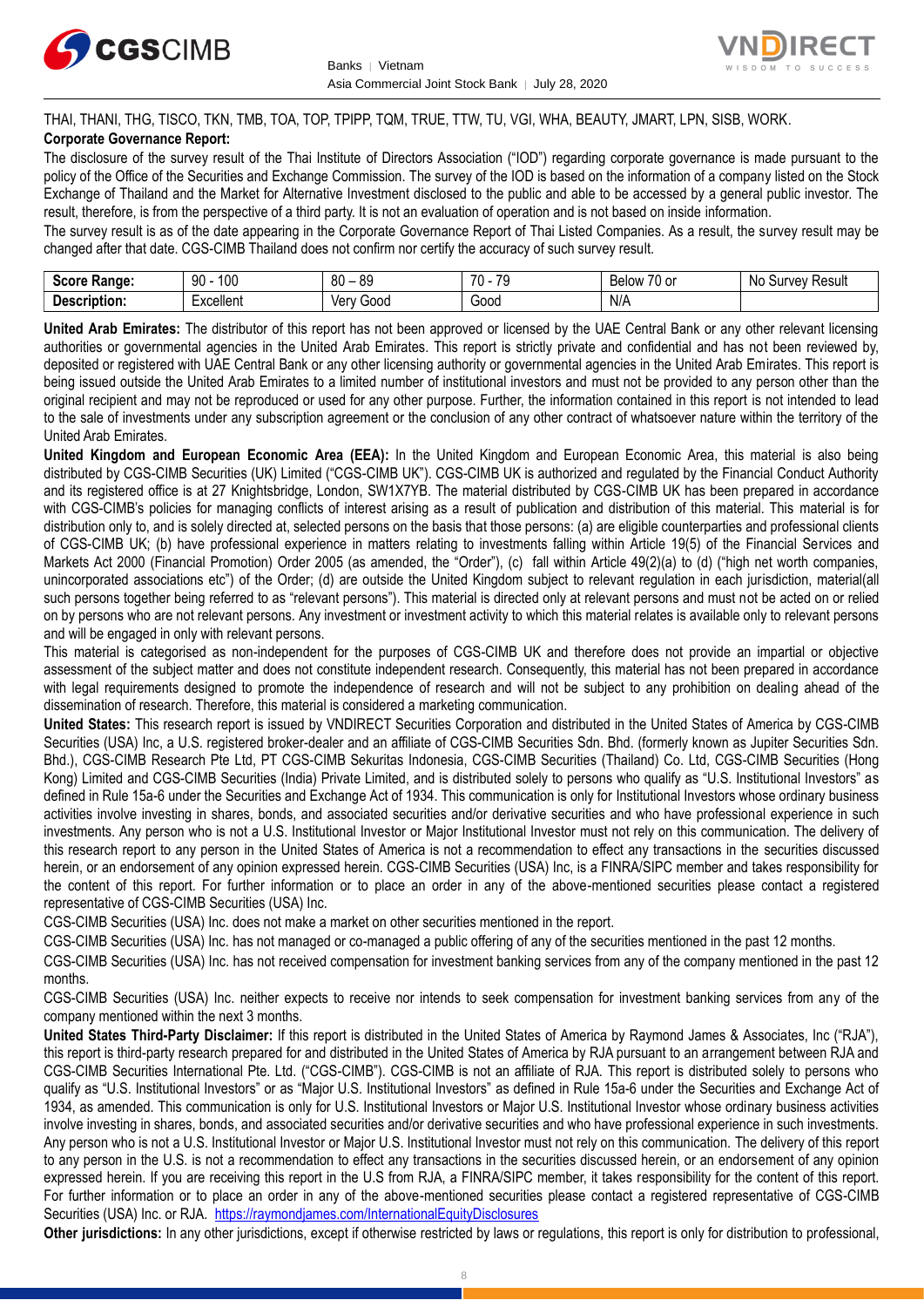



# THAI, THANI, THG, TISCO, TKN, TMB, TOA, TOP, TPIPP, TQM, TRUE, TTW, TU, VGI, WHA, BEAUTY, JMART, LPN, SISB, WORK.

#### **Corporate Governance Report:**

The disclosure of the survey result of the Thai Institute of Directors Association ("IOD") regarding corporate governance is made pursuant to the policy of the Office of the Securities and Exchange Commission. The survey of the IOD is based on the information of a company listed on the Stock Exchange of Thailand and the Market for Alternative Investment disclosed to the public and able to be accessed by a general public investor. The result, therefore, is from the perspective of a third party. It is not an evaluation of operation and is not based on inside information.

The survey result is as of the date appearing in the Corporate Governance Report of Thai Listed Companies. As a result, the survey result may be changed after that date. CGS-CIMB Thailand does not confirm nor certify the accuracy of such survey result.

| <b>Range:</b><br>- - - - -      | 100<br>۵N<br>טע<br>ĴU | 89<br>80<br>$\sim$ | 70<br>70<br>.<br>. . | $\sim$ $\sim$<br>Below<br>$\sim$<br>. ט<br>v | : Result<br>N0<br>Jurvey: |
|---------------------------------|-----------------------|--------------------|----------------------|----------------------------------------------|---------------------------|
| -<br><b>Descrip</b><br>ription. | Lyonllont<br>∟∧∪∪แ∪เเ | 000ئ<br>Verv       | Good                 | N/A                                          |                           |

**United Arab Emirates:** The distributor of this report has not been approved or licensed by the UAE Central Bank or any other relevant licensing authorities or governmental agencies in the United Arab Emirates. This report is strictly private and confidential and has not been reviewed by, deposited or registered with UAE Central Bank or any other licensing authority or governmental agencies in the United Arab Emirates. This report is being issued outside the United Arab Emirates to a limited number of institutional investors and must not be provided to any person other than the original recipient and may not be reproduced or used for any other purpose. Further, the information contained in this report is not intended to lead to the sale of investments under any subscription agreement or the conclusion of any other contract of whatsoever nature within the territory of the United Arab Emirates.

**United Kingdom and European Economic Area (EEA):** In the United Kingdom and European Economic Area, this material is also being distributed by CGS-CIMB Securities (UK) Limited ("CGS-CIMB UK"). CGS-CIMB UK is authorized and regulated by the Financial Conduct Authority and its registered office is at 27 Knightsbridge, London, SW1X7YB. The material distributed by CGS-CIMB UK has been prepared in accordance with CGS-CIMB's policies for managing conflicts of interest arising as a result of publication and distribution of this material. This material is for distribution only to, and is solely directed at, selected persons on the basis that those persons: (a) are eligible counterparties and professional clients of CGS-CIMB UK; (b) have professional experience in matters relating to investments falling within Article 19(5) of the Financial Services and Markets Act 2000 (Financial Promotion) Order 2005 (as amended, the "Order"), (c) fall within Article 49(2)(a) to (d) ("high net worth companies, unincorporated associations etc") of the Order; (d) are outside the United Kingdom subject to relevant regulation in each jurisdiction, material(all such persons together being referred to as "relevant persons"). This material is directed only at relevant persons and must not be acted on or relied on by persons who are not relevant persons. Any investment or investment activity to which this material relates is available only to relevant persons and will be engaged in only with relevant persons.

This material is categorised as non-independent for the purposes of CGS-CIMB UK and therefore does not provide an impartial or objective assessment of the subject matter and does not constitute independent research. Consequently, this material has not been prepared in accordance with legal requirements designed to promote the independence of research and will not be subject to any prohibition on dealing ahead of the dissemination of research. Therefore, this material is considered a marketing communication.

**United States:** This research report is issued by VNDIRECT Securities Corporation and distributed in the United States of America by CGS-CIMB Securities (USA) Inc, a U.S. registered broker-dealer and an affiliate of CGS-CIMB Securities Sdn. Bhd. (formerly known as Jupiter Securities Sdn. Bhd.), CGS-CIMB Research Pte Ltd, PT CGS-CIMB Sekuritas Indonesia, CGS-CIMB Securities (Thailand) Co. Ltd, CGS-CIMB Securities (Hong Kong) Limited and CGS-CIMB Securities (India) Private Limited, and is distributed solely to persons who qualify as "U.S. Institutional Investors" as defined in Rule 15a-6 under the Securities and Exchange Act of 1934. This communication is only for Institutional Investors whose ordinary business activities involve investing in shares, bonds, and associated securities and/or derivative securities and who have professional experience in such investments. Any person who is not a U.S. Institutional Investor or Major Institutional Investor must not rely on this communication. The delivery of this research report to any person in the United States of America is not a recommendation to effect any transactions in the securities discussed herein, or an endorsement of any opinion expressed herein. CGS-CIMB Securities (USA) Inc, is a FINRA/SIPC member and takes responsibility for the content of this report. For further information or to place an order in any of the above-mentioned securities please contact a registered representative of CGS-CIMB Securities (USA) Inc.

CGS-CIMB Securities (USA) Inc. does not make a market on other securities mentioned in the report.

CGS-CIMB Securities (USA) Inc. has not managed or co-managed a public offering of any of the securities mentioned in the past 12 months.

CGS-CIMB Securities (USA) Inc. has not received compensation for investment banking services from any of the company mentioned in the past 12 months.

CGS-CIMB Securities (USA) Inc. neither expects to receive nor intends to seek compensation for investment banking services from any of the company mentioned within the next 3 months.

**United States Third-Party Disclaimer:** If this report is distributed in the United States of America by Raymond James & Associates, Inc ("RJA"), this report is third-party research prepared for and distributed in the United States of America by RJA pursuant to an arrangement between RJA and CGS-CIMB Securities International Pte. Ltd. ("CGS-CIMB"). CGS-CIMB is not an affiliate of RJA. This report is distributed solely to persons who qualify as "U.S. Institutional Investors" or as "Major U.S. Institutional Investors" as defined in Rule 15a-6 under the Securities and Exchange Act of 1934, as amended. This communication is only for U.S. Institutional Investors or Major U.S. Institutional Investor whose ordinary business activities involve investing in shares, bonds, and associated securities and/or derivative securities and who have professional experience in such investments. Any person who is not a U.S. Institutional Investor or Major U.S. Institutional Investor must not rely on this communication. The delivery of this report to any person in the U.S. is not a recommendation to effect any transactions in the securities discussed herein, or an endorsement of any opinion expressed herein. If you are receiving this report in the U.S from RJA, a FINRA/SIPC member, it takes responsibility for the content of this report. For further information or to place an order in any of the above-mentioned securities please contact a registered representative of CGS-CIMB Securities (USA) Inc. or RJA.<https://raymondjames.com/InternationalEquityDisclosures>

**Other jurisdictions:** In any other jurisdictions, except if otherwise restricted by laws or regulations, this report is only for distribution to professional,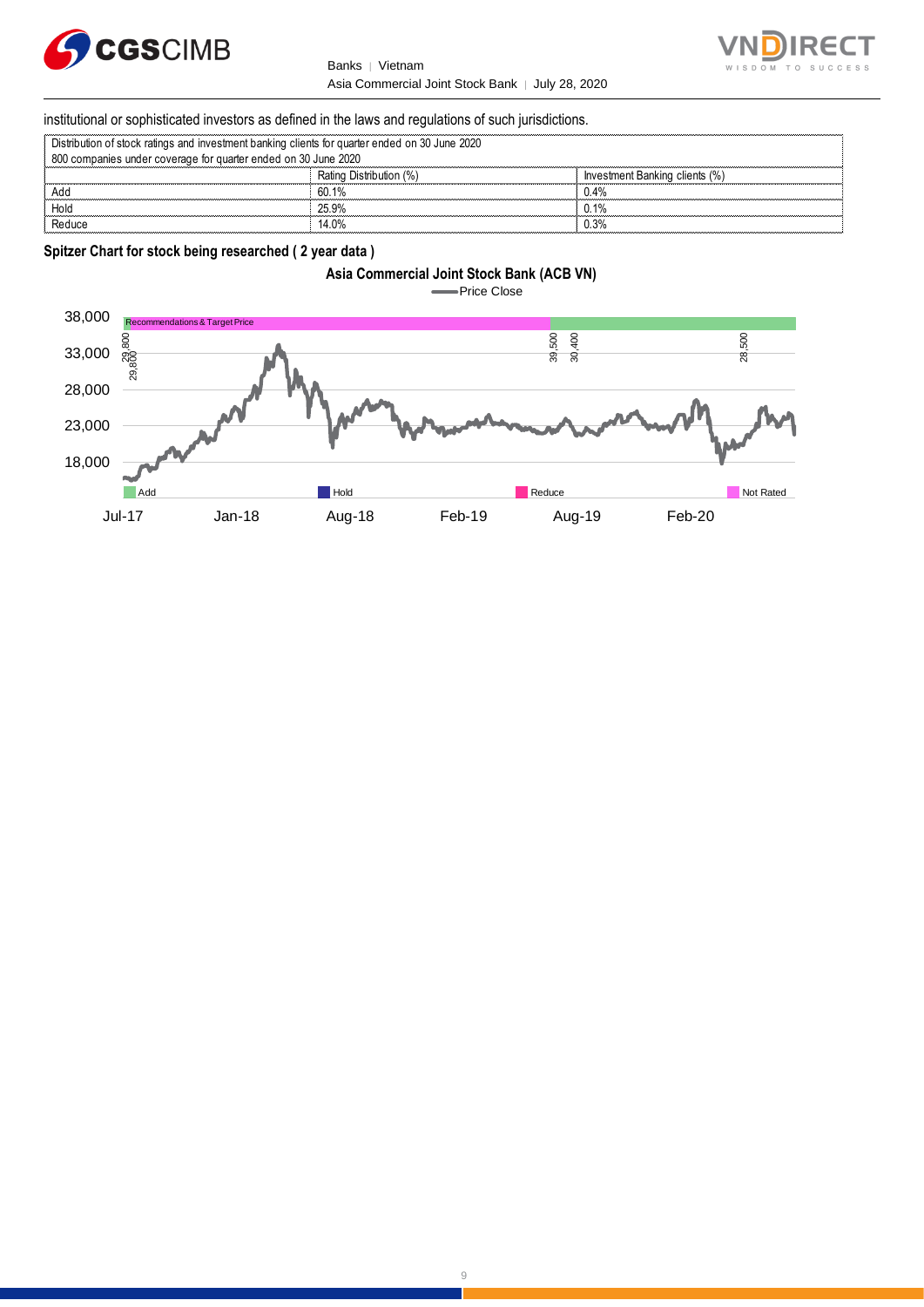

Banks | Vietnam Asia Commercial Joint Stock Bank │ July 28, 2020



#### institutional or sophisticated investors as defined in the laws and regulations of such jurisdictions.

| Distribution of stock ratings and investment banking clients for quarter ended on 30 June 2020 |                         |                                |  |  |  |  |
|------------------------------------------------------------------------------------------------|-------------------------|--------------------------------|--|--|--|--|
| 800 companies under coverage for quarter ended on 30 June 2020                                 |                         |                                |  |  |  |  |
|                                                                                                | Rating Distribution (%) | Investment Banking clients (%) |  |  |  |  |
| Add                                                                                            | 60.1%                   | 0.4%                           |  |  |  |  |
| Hold                                                                                           | 25.9%                   | 0.1%                           |  |  |  |  |
| Reduce                                                                                         | 14.0%                   | ).3%                           |  |  |  |  |

#### **Spitzer Chart for stock being researched ( 2 year data )**





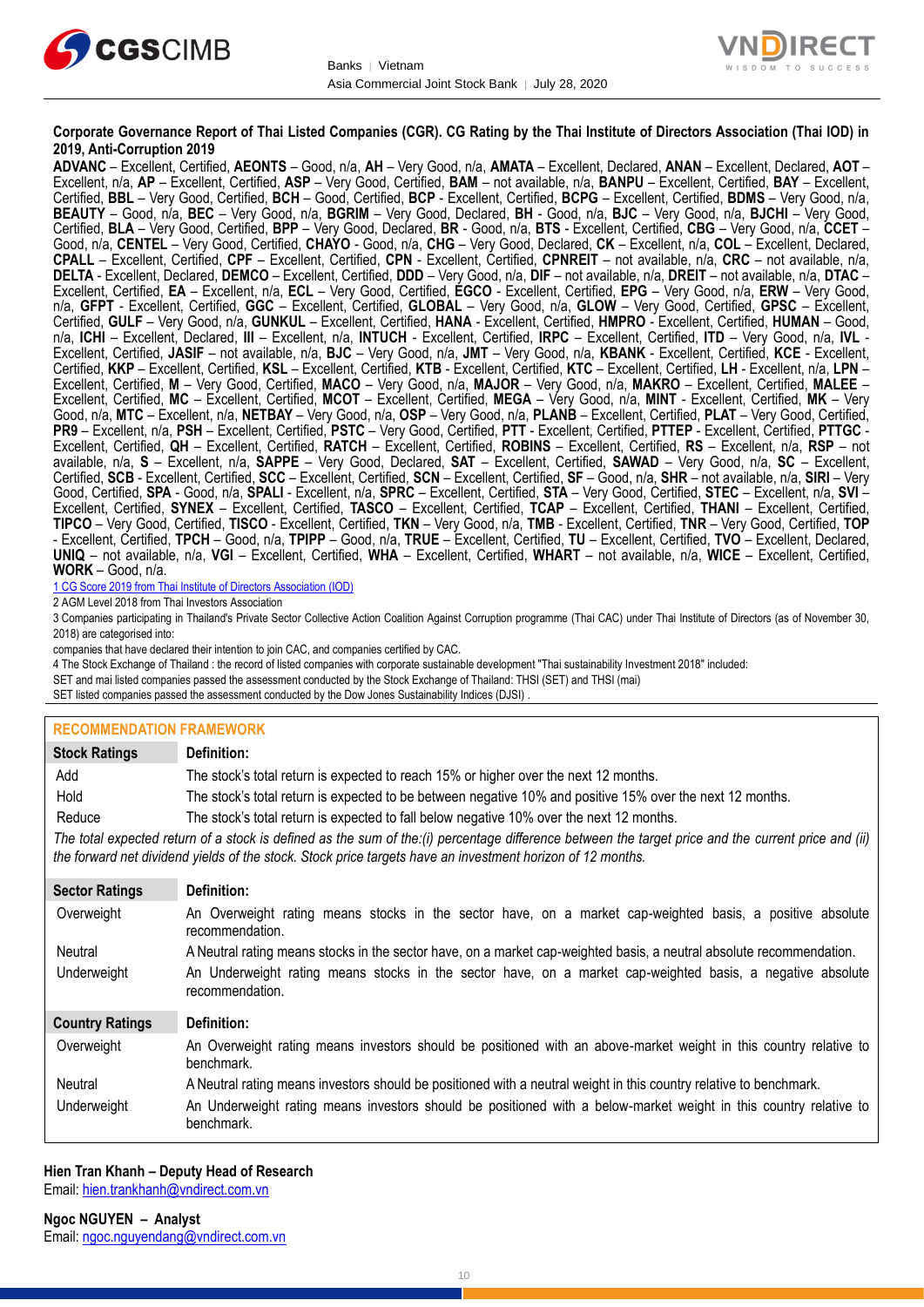



#### **Corporate Governance Report of Thai Listed Companies (CGR). CG Rating by the Thai Institute of Directors Association (Thai IOD) in 2019, Anti-Corruption 2019**

**ADVANC** – Excellent, Certified, **AEONTS** – Good, n/a, **AH** – Very Good, n/a, **AMATA** – Excellent, Declared, **ANAN** – Excellent, Declared, **AOT** – Excellent, n/a, **AP** – Excellent, Certified, **ASP** – Very Good, Certified, **BAM** – not available, n/a, **BANPU** – Excellent, Certified, **BAY** – Excellent, Certified, **BBL** – Very Good, Certified, **BCH** – Good, Certified, **BCP** - Excellent, Certified, **BCPG** – Excellent, Certified, **BDMS** – Very Good, n/a, **BEAUTY** – Good, n/a, **BEC** – Very Good, n/a, **BGRIM** – Very Good, Declared, **BH** - Good, n/a, **BJC** – Very Good, n/a, **BJCHI** – Very Good, Certified, **BLA** – Very Good, Certified, **BPP** – Very Good, Declared, **BR** - Good, n/a, **BTS** - Excellent, Certified, **CBG** – Very Good, n/a, **CCET** – Good, n/a, **CENTEL** – Very Good, Certified, **CHAYO** - Good, n/a, **CHG** – Very Good, Declared, **CK** – Excellent, n/a, **COL** – Excellent, Declared, **CPALL** – Excellent, Certified, **CPF** – Excellent, Certified, **CPN** - Excellent, Certified, **CPNREIT** – not available, n/a, **CRC** – not available, n/a, **DELTA** - Excellent, Declared, **DEMCO** – Excellent, Certified, **DDD** – Very Good, n/a, **DIF** – not available, n/a, **DREIT** – not available, n/a, **DTAC** – Excellent, Certified, **EA** – Excellent, n/a, **ECL** – Very Good, Certified, **EGCO** - Excellent, Certified, **EPG** – Very Good, n/a, **ERW** – Very Good, n/a, **GFPT** - Excellent, Certified, **GGC** – Excellent, Certified, **GLOBAL** – Very Good, n/a, **GLOW** – Very Good, Certified, **GPSC** – Excellent, Certified, **GULF** – Very Good, n/a, **GUNKUL** – Excellent, Certified, **HANA** - Excellent, Certified, **HMPRO** - Excellent, Certified, **HUMAN** – Good, n/a, **ICHI** – Excellent, Declared, **III** – Excellent, n/a, **INTUCH** - Excellent, Certified, **IRPC** – Excellent, Certified, **ITD** – Very Good, n/a, **IVL** - Excellent, Certified, **JASIF** – not available, n/a, **BJC** – Very Good, n/a, **JMT** – Very Good, n/a, **KBANK** - Excellent, Certified, **KCE** - Excellent, Certified, **KKP** – Excellent, Certified, **KSL** – Excellent, Certified, **KTB** - Excellent, Certified, **KTC** – Excellent, Certified, **LH** - Excellent, n/a, **LPN** – Excellent, Certified, **M** – Very Good, Certified, **MACO** – Very Good, n/a, **MAJOR** – Very Good, n/a, **MAKRO** – Excellent, Certified, **MALEE** – Excellent, Certified, **MC** – Excellent, Certified, **MCOT** – Excellent, Certified, **MEGA** – Very Good, n/a, **MINT** - Excellent, Certified, **MK** – Very Good, n/a, **MTC** – Excellent, n/a, **NETBAY** – Very Good, n/a, **OSP** – Very Good, n/a, **PLANB** – Excellent, Certified, **PLAT** – Very Good, Certified, **PR9** – Excellent, n/a, **PSH** – Excellent, Certified, **PSTC** – Very Good, Certified, **PTT** - Excellent, Certified, **PTTEP** - Excellent, Certified, **PTTGC** - Excellent, Certified, **QH** – Excellent, Certified, **RATCH** – Excellent, Certified, **ROBINS** – Excellent, Certified, **RS** – Excellent, n/a, **RSP** – not available, n/a, **S** – Excellent, n/a, **SAPPE** – Very Good, Declared, **SAT** – Excellent, Certified, **SAWAD** – Very Good, n/a, **SC** – Excellent, Certified, **SCB** - Excellent, Certified, **SCC** – Excellent, Certified, **SCN** – Excellent, Certified, **SF** – Good, n/a, **SHR** – not available, n/a, **SIRI** – Very Good, Certified, **SPA** - Good, n/a, **SPALI** - Excellent, n/a, **SPRC** – Excellent, Certified, **STA** – Very Good, Certified, **STEC** – Excellent, n/a, **SVI** – Excellent, Certified, **SYNEX** – Excellent, Certified, **TASCO** – Excellent, Certified, **TCAP** – Excellent, Certified, **THANI** – Excellent, Certified, **TIPCO** – Very Good, Certified, **TISCO** - Excellent, Certified, **TKN** – Very Good, n/a, **TMB** - Excellent, Certified, **TNR** – Very Good, Certified, **TOP** - Excellent, Certified, **TPCH** – Good, n/a, **TPIPP** – Good, n/a, **TRUE** – Excellent, Certified, **TU** – Excellent, Certified, **TVO** – Excellent, Declared, **UNIQ** – not available, n/a, **VGI** – Excellent, Certified, **WHA** – Excellent, Certified, **WHART** – not available, n/a, **WICE** – Excellent, Certified, **WORK** – Good, n/a.

1 CG Score 2019 from Thai Institute of Directors Association (IOD)

2 AGM Level 2018 from Thai Investors Association

3 Companies participating in Thailand's Private Sector Collective Action Coalition Against Corruption programme (Thai CAC) under Thai Institute of Directors (as of November 30, 2018) are categorised into:

companies that have declared their intention to join CAC, and companies certified by CAC.

4 [The Stock Exchange of Thailand : the record of listed companies with corporate sustainable development "Thai sustainability Investment 2018" included:](http://www.set.or.th/sustainable_dev/en/sr/sri/tsi_p1.html)

SET and mai listed companies passed the assessment conducted by the Stock Exchange of Thailand: THSI (SET) and THSI (mai)

SET listed companies passed the assessment conducted by the Dow Jones Sustainability Indices (DJSI)

#### **RECOMMENDATION FRAMEWORK**

| <b>Stock Ratings</b>                                                                                                                                                                                                                                              | Definition:                                                                                                                     |
|-------------------------------------------------------------------------------------------------------------------------------------------------------------------------------------------------------------------------------------------------------------------|---------------------------------------------------------------------------------------------------------------------------------|
| Add                                                                                                                                                                                                                                                               | The stock's total return is expected to reach 15% or higher over the next 12 months.                                            |
| Hold                                                                                                                                                                                                                                                              | The stock's total return is expected to be between negative 10% and positive 15% over the next 12 months.                       |
| Reduce                                                                                                                                                                                                                                                            | The stock's total return is expected to fall below negative 10% over the next 12 months.                                        |
| The total expected return of a stock is defined as the sum of the:(i) percentage difference between the target price and the current price and (ii)<br>the forward net dividend yields of the stock. Stock price targets have an investment horizon of 12 months. |                                                                                                                                 |
| <b>Sector Ratings</b>                                                                                                                                                                                                                                             | Definition:                                                                                                                     |
| Overweight                                                                                                                                                                                                                                                        | An Overweight rating means stocks in the sector have, on a market cap-weighted basis, a positive absolute<br>recommendation.    |
| Neutral                                                                                                                                                                                                                                                           | A Neutral rating means stocks in the sector have, on a market cap-weighted basis, a neutral absolute recommendation.            |
| Underweight                                                                                                                                                                                                                                                       | An Underweight rating means stocks in the sector have, on a market cap-weighted basis, a negative absolute<br>recommendation.   |
| <b>Country Ratings</b>                                                                                                                                                                                                                                            | Definition:                                                                                                                     |
| Overweight                                                                                                                                                                                                                                                        | An Overweight rating means investors should be positioned with an above-market weight in this country relative to<br>benchmark. |
| Neutral                                                                                                                                                                                                                                                           | A Neutral rating means investors should be positioned with a neutral weight in this country relative to benchmark.              |
| Underweight                                                                                                                                                                                                                                                       | An Underweight rating means investors should be positioned with a below-market weight in this country relative to<br>benchmark. |

#### **Hien Tran Khanh – Deputy Head of Research** Email: [hien.trankhanh@vndirect.com.vn](mailto:hien.trankhanh@vndirect.com.vn)